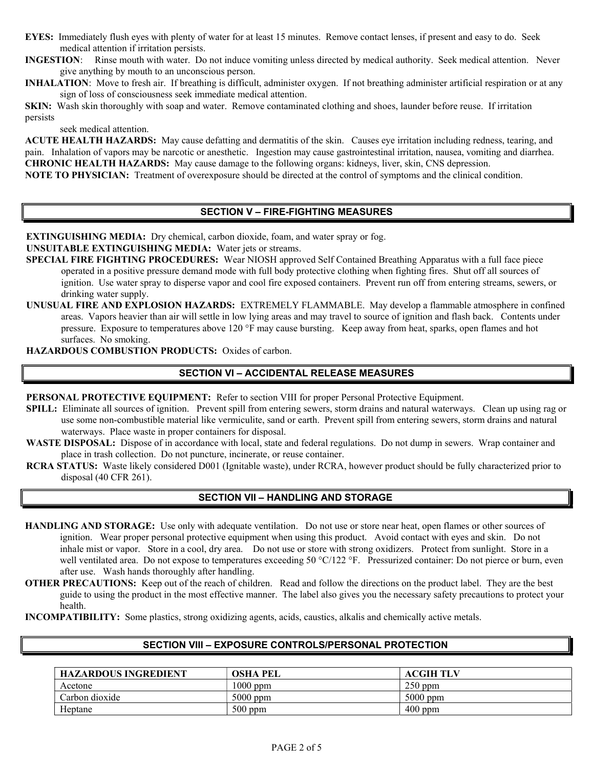EYES: Immediatelyfl w sleves y ithplenty of y atenfor at least 15 minwtes 0Remo x e conactionses, if present and tasy to do 0Seem medical attention if irritation persists 0

INGESTION: Rinse mouth with water. Do not induce vomiting unless directed by medical authority. Seek medical attention. Never give anything by mouth to an unconscious person.

**INHALATION:** Move to fresh air. If breathing is difficult, administer oxygen. If not breathing administer artificial respiration or at any sign of loss of consciousness seek immediate medical attention.

SKIN: Washsmithorowghly ith soapand y ater Remox contaminated alothing and shoes, lawder beforere wse If irritation persists seek medical attention.

ACUTE HEALTH HAZARDS: May cawse efatting and dermatitis of the smin Cawses eyerritation incl wling redress, tearing, and pain 0Inhalation of xaporsmay be narcotic ornesthetic 0Ingestionmay caws gastronities in irritation as we sea x omiting nd diarrhea 0 CHRONIC HEALTH HAZARDS: May cawse damage to thollo y ingorgans: midneysli x er, smi6NS depression 0 NOTE TO PHYSICIAN: Treatment of 0 x erexpos wsleo w ldve directedat the control of symptoms and the clinical condition 0

**EXTINGUISHING MEDIA:** Dry chemical, carbon dioxide, foam, and y ater spray or fog 0

**UNSUITABLE EXTINGUISHING MEDIA: Water 1 ets or streams 0** 

SPECIAL FIRE FIGHTING PROCEDURES: Wear NIOSH approx ed Self ContednBreathing Apparat ws y ithvalfface piece operated in a positi x e press w re demand mode y ith f wll bodti problothing y hen fighting to 0 Sh wt off all so wrces of ignition 0 Use y ater spray to disperse x apor and cool fixed x pontainers 0 Pre x ent r wn off from entering streams, se y ers, drinming  $y$  ater swpply  $0$ 

UNUSUAL FIRE AND EXPLOSION HAZARDS: EXTREMELY FLAMMABLE 0 May de xalilammable atmosphere in comed areas 0 Vapors hea x ier than air y ill settle in lo y lying marten average to so w rece of ignition and flash bacm 0 Gontents press w re 0 Expos w re to temperat w res abo x e 120 Å F maximg was keeps y ay from heat, sparms, open flames and hot swrfaces 0 No smoming 0

HAZARDOUS COMBUSTION PRODUCTS: Oxides of carbon 0

#### SECTION VI 6 ACCIDENTAL RELEASE MEASURES

PERSONAL PROTECTIVE EQUIPMENT: Refer to section VIII for proper Personal Protecti x e E s wipment 0

- SPILL: Eliminate all sow rces of ignition 0 Pre x ent spill from gusteviers, storm drains and nat w ral y ater y ays 0 Clean map or sing w se some non-comb w stible material lime x ermic w lite, sa**tkl @r Pae** x ent spill from entering se y ers, storm drains and nat w r y ater y ays 0 Place y aste iperrontainers for disposal 0
- WASTE DISPOSAL: Dispose of in accordance y ith bal, state and federal reg w lats 0 Do not dwmp in sey ers 0 Wrap container and place in trash collection 0 Do not p w nct w re, incinerate, or re w se container 0
- RCRA STATUS: Waste limely considered D001 (Ignitable y aste), wnder RCRA, ho y e x er prod w ct sho wld be f wlly characteri | ed disposal (40 CFR 261) 0

# **SECTION VII - HANDLING AND STORAGE**

**HANDLING AND STORAGE:** Use only with adequate ventilation. Do not use or store near heat, open flames or other sources of ignition. Wear proper personal protective equipment when using this product. Avoid contact with eyes and skin. Do not inhale mist or vapor. Store in a cool, dry area. Do not use or store with strong oxidizers. Protect from sunlight. Store in a well ventilated area. Do not expose to temperatures exceeding 50 °C/122 °F. Pressurized container: Do not pierce or burn, even after use. Wash hands thoroughly after handling.

**OTHER PRECAUTIONS:** Keep out of the reach of children. Read and follow the directions on the product label. They are the best guide to using the product in the most effective manner. The label also gives you the necessary safety precautions to protect your health.

**INCOMPATIBILITY:** Some plastics, strong oxidizing agents, acids, caustics, alkalis and chemically active metals.

#### SECTION VIII - EXPOSURE CONTROLS/PERSONAL PROTECTION

| <b>HAZARDOUS INGREDIENT</b> | <b>OSHA PEL</b> | <b>ACGIH TLV</b> |
|-----------------------------|-----------------|------------------|
| Acetone                     | $1000$ ppm      | $250$ ppm        |
| Carbon dioxide              | $5000$ ppm      | $5000$ ppm       |
| Heptane                     | $500$ ppm       | $400$ ppm        |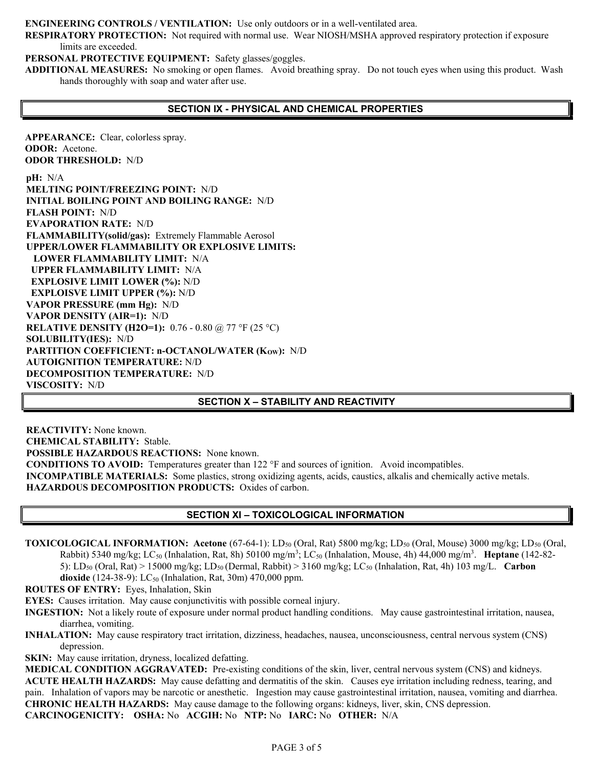**ENGINEERING CONTROLS / VENTILATION:** Use only outdoors or in a well-ventilated area.

**RESPIRATORY PROTECTION:** Not required with normal use. Wear NIOSH/MSHA approved respiratory protection if exposure limits are exceeded.

**PERSONAL PROTECTIVE EQUIPMENT:** Safety glasses/goggles.

**ADDITIONAL MEASURES:** No smoking or open flames. Avoid breathing spray. Do not touch eyes when using this product. Wash hands thoroughly with soap and water after use.

# **SECTION IX - PHYSICAL AND CHEMICAL PROPERTIES**

**APPEARANCE:** Clear, colorless spray. **ODOR:** Acetone. **ODOR THRESHOLD:** N/D

**pH:** N/A **MELTING POINT/FREEZING POINT:** N/D **INITIAL BOILING POINT AND BOILING RANGE:** N/D **FLASH POINT:** N/D **EVAPORATION RATE:** N/D **FLAMMABILITY(solid/gas):** Extremely Flammable Aerosol **UPPER/LOWER FLAMMABILITY OR EXPLOSIVE LIMITS: LOWER FLAMMABILITY LIMIT:** N/A  **UPPER FLAMMABILITY LIMIT:** N/A **EXPLOSIVE LIMIT LOWER (%):** N/D  **EXPLOISVE LIMIT UPPER (%):** N/D **VAPOR PRESSURE (mm Hg):** N/D **VAPOR DENSITY (AIR=1):** N/D **RELATIVE DENSITY (H2O=1):** 0.76 - 0.80 @ 77 °F (25 °C) **SOLUBILITY(IES):** N/D PARTITION COEFFICIENT: n-OCTANOL/WATER (Kow): N/D **AUTOIGNITION TEMPERATURE:** N/D **DECOMPOSITION TEMPERATURE:** N/D **VISCOSITY:** N/D

**SECTION X – STABILITY AND REACTIVITY** 

**REACTIVITY:** None known. **CHEMICAL STABILITY:** Stable. **POSSIBLE HAZARDOUS REACTIONS:** None known. **CONDITIONS TO AVOID:** Temperatures greater than 122 °F and sources of ignition. Avoid incompatibles. **INCOMPATIBLE MATERIALS:** Some plastics, strong oxidizing agents, acids, caustics, alkalis and chemically active metals. **HAZARDOUS DECOMPOSITION PRODUCTS:** Oxides of carbon.

# **SECTION XI – TOXICOLOGICAL INFORMATION**

**TOXICOLOGICAL INFORMATION:** Acetone (67-64-1): LD<sub>50</sub> (Oral, Rat) 5800 mg/kg; LD<sub>50</sub> (Oral, Mouse) 3000 mg/kg; LD<sub>50</sub> (Oral, Rabbit) 5340 mg/kg; LC<sub>50</sub> (Inhalation, Rat, 8h) 50100 mg/m<sup>3</sup>; LC<sub>50</sub> (Inhalation, Mouse, 4h) 44,000 mg/m<sup>3</sup>. **Heptane** (142-82-5): LD50 (Oral, Rat) > 15000 mg/kg; LD50 (Dermal, Rabbit) > 3160 mg/kg; LC50 (Inhalation, Rat, 4h) 103 mg/L. **Carbon dioxide** (124-38-9): LC<sub>50</sub> (Inhalation, Rat, 30m) 470,000 ppm.

**ROUTES OF ENTRY:** Eyes, Inhalation, Skin

**EYES:** Causes irritation. May cause conjunctivitis with possible corneal injury.

- **INGESTION:** Not a likely route of exposure under normal product handling conditions. May cause gastrointestinal irritation, nausea, diarrhea, vomiting.
- **INHALATION:** May cause respiratory tract irritation, dizziness, headaches, nausea, unconsciousness, central nervous system (CNS) depression.

**SKIN:** May cause irritation, dryness, localized defatting.

**MEDICAL CONDITION AGGRAVATED:** Pre-existing conditions of the skin, liver, central nervous system (CNS) and kidneys. **ACUTE HEALTH HAZARDS:** May cause defatting and dermatitis of the skin. Causes eye irritation including redness, tearing, and pain. Inhalation of vapors may be narcotic or anesthetic. Ingestion may cause gastrointestinal irritation, nausea, vomiting and diarrhea. **CHRONIC HEALTH HAZARDS:** May cause damage to the following organs: kidneys, liver, skin, CNS depression. **CARCINOGENICITY: OSHA:** No **ACGIH:** No **NTP:** No **IARC:** No **OTHER:** N/A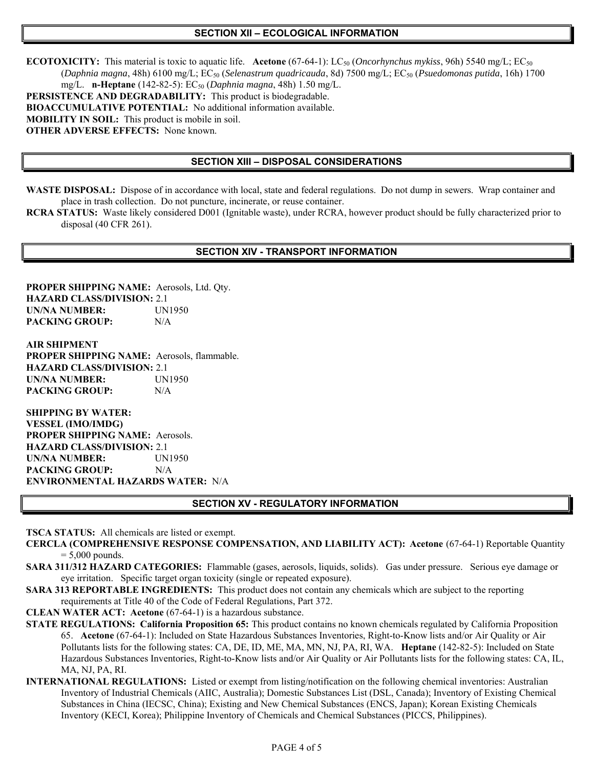#### **SECTION XII – ECOLOGICAL INFORMATION**

**ECOTOXICITY:** This material is toxic to aquatic life. **Acetone** (67-64-1): LC<sub>50</sub> (*Oncorhynchus mykiss*, 96h) 5540 mg/L; EC<sub>50</sub> (*Daphnia magna*, 48h) 6100 mg/L; EC50 (*Selenastrum quadricauda*, 8d) 7500 mg/L; EC50 (*Psuedomonas putida*, 16h) 1700 mg/L. **n-Heptane** (142-82-5): EC<sub>50</sub> (*Daphnia magna*, 48h) 1.50 mg/L. **PERSISTENCE AND DEGRADABILITY:** This product is biodegradable. **BIOACCUMULATIVE POTENTIAL:** No additional information available. **MOBILITY IN SOIL:** This product is mobile in soil. **OTHER ADVERSE EFFECTS:** None known.

# **SECTION XIII – DISPOSAL CONSIDERATIONS**

- **WASTE DISPOSAL:** Dispose of in accordance with local, state and federal regulations. Do not dump in sewers. Wrap container and place in trash collection. Do not puncture, incinerate, or reuse container.
- **RCRA STATUS:** Waste likely considered D001 (Ignitable waste), under RCRA, however product should be fully characterized prior to disposal (40 CFR 261).

### **SECTION XIV - TRANSPORT INFORMATION**

**PROPER SHIPPING NAME:** Aerosols, Ltd. Qty. **HAZARD CLASS/DIVISION:** 2.1 **UN/NA NUMBER:** UN1950 **PACKING GROUP:** N/A

**AIR SHIPMENT PROPER SHIPPING NAME:** Aerosols, flammable. **HAZARD CLASS/DIVISION:** 2.1 **UN/NA NUMBER:** UN1950 **PACKING GROUP:** N/A

**SHIPPING BY WATER: VESSEL (IMO/IMDG) PROPER SHIPPING NAME:** Aerosols. **HAZARD CLASS/DIVISION:** 2.1 **UN/NA NUMBER:** UN1950 **PACKING GROUP:** N/A **ENVIRONMENTAL HAZARDS WATER:** N/A

#### **SECTION XV - REGULATORY INFORMATION**

**TSCA STATUS:** All chemicals are listed or exempt.

- **CERCLA (COMPREHENSIVE RESPONSE COMPENSATION, AND LIABILITY ACT): Acetone** (67-64-1) Reportable Quantity  $= 5,000$  pounds.
- **SARA 311/312 HAZARD CATEGORIES:** Flammable (gases, aerosols, liquids, solids). Gas under pressure. Serious eye damage or eye irritation. Specific target organ toxicity (single or repeated exposure).
- **SARA 313 REPORTABLE INGREDIENTS:** This product does not contain any chemicals which are subject to the reporting requirements at Title 40 of the Code of Federal Regulations, Part 372.
- **CLEAN WATER ACT: Acetone** (67-64-1) is a hazardous substance.
- **STATE REGULATIONS: California Proposition 65:** This product contains no known chemicals regulated by California Proposition 65. **Acetone** (67-64-1): Included on State Hazardous Substances Inventories, Right-to-Know lists and/or Air Quality or Air Pollutants lists for the following states: CA, DE, ID, ME, MA, MN, NJ, PA, RI, WA. **Heptane** (142-82-5): Included on State Hazardous Substances Inventories, Right-to-Know lists and/or Air Quality or Air Pollutants lists for the following states: CA, IL, MA, NJ, PA, RI.
- **INTERNATIONAL REGULATIONS:** Listed or exempt from listing/notification on the following chemical inventories: Australian Inventory of Industrial Chemicals (AIIC, Australia); Domestic Substances List (DSL, Canada); Inventory of Existing Chemical Substances in China (IECSC, China); Existing and New Chemical Substances (ENCS, Japan); Korean Existing Chemicals Inventory (KECI, Korea); Philippine Inventory of Chemicals and Chemical Substances (PICCS, Philippines).